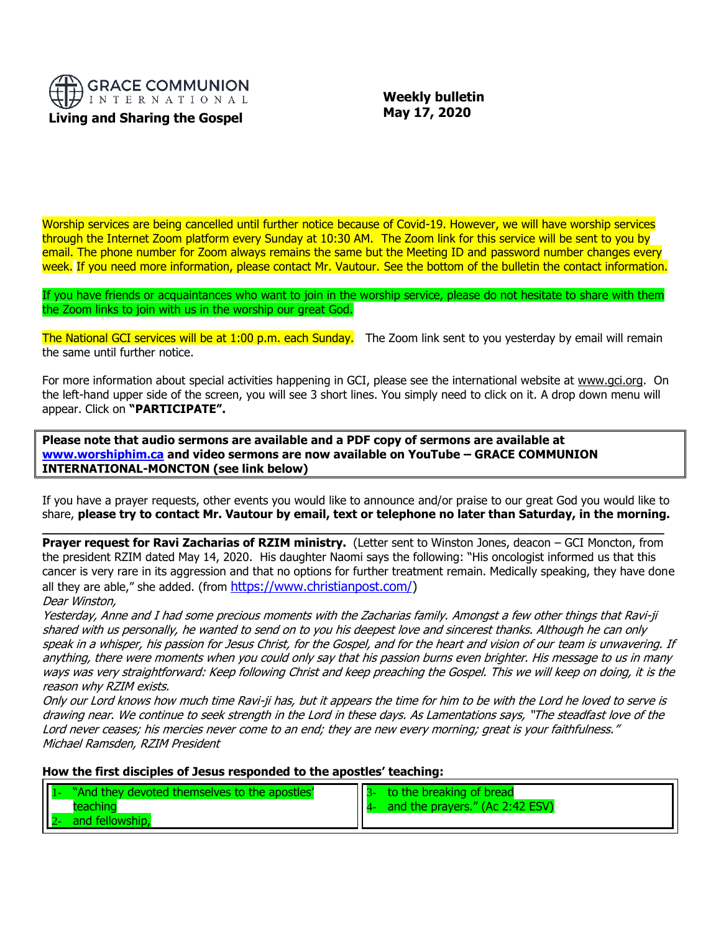

 **Weekly bulletin May 17, 2020**

Worship services are being cancelled until further notice because of Covid-19. However, we will have worship services through the Internet Zoom platform every Sunday at 10:30 AM. The Zoom link for this service will be sent to you by email. The phone number for Zoom always remains the same but the Meeting ID and password number changes every week. If you need more information, please contact Mr. Vautour. See the bottom of the bulletin the contact information.

If you have friends or acquaintances who want to join in the worship service, please do not hesitate to share with them the Zoom links to join with us in the worship our great God.

The National GCI services will be at 1:00 p.m. each Sunday. The Zoom link sent to you yesterday by email will remain the same until further notice.

For more information about special activities happening in GCI, please see the international website at [www.gci.org.](http://www.gci.org/) On the left-hand upper side of the screen, you will see 3 short lines. You simply need to click on it. A drop down menu will appear. Click on **"PARTICIPATE".** 

**Please note that audio sermons are available and a PDF copy of sermons are available at [www.worshiphim.ca](http://www.worshiphim.ca/) and video sermons are now available on YouTube – GRACE COMMUNION INTERNATIONAL-MONCTON (see link below)**

If you have a prayer requests, other events you would like to announce and/or praise to our great God you would like to share, **please try to contact Mr. Vautour by email, text or telephone no later than Saturday, in the morning.**

**\_\_\_\_\_\_\_\_\_\_\_\_\_\_\_\_\_\_\_\_\_\_\_\_\_\_\_\_\_\_\_\_\_\_\_\_\_\_\_\_\_\_\_\_\_\_\_\_\_\_\_\_\_\_\_\_\_\_\_\_\_\_\_\_\_\_\_\_\_\_\_\_\_\_\_\_\_\_\_\_\_\_\_**

**Prayer request for Ravi Zacharias of RZIM ministry.** (Letter sent to Winston Jones, deacon – GCI Moncton, from the president RZIM dated May 14, 2020. His daughter Naomi says the following: "His oncologist informed us that this cancer is very rare in its aggression and that no options for further treatment remain. Medically speaking, they have done all they are able," she added. (from [https://www.christianpost.com/\)](https://www.christianpost.com/)

Dear Winston,

Yesterday, Anne and I had some precious moments with the Zacharias family. Amongst a few other things that Ravi-ji shared with us personally, he wanted to send on to you his deepest love and sincerest thanks. Although he can only speak in a whisper, his passion for Jesus Christ, for the Gospel, and for the heart and vision of our team is unwavering. If anything, there were moments when you could only say that his passion burns even brighter. His message to us in many ways was very straightforward: Keep following Christ and keep preaching the Gospel. This we will keep on doing, it is the reason why RZIM exists.

Only our Lord knows how much time Ravi-ji has, but it appears the time for him to be with the Lord he loved to serve is drawing near. We continue to seek strength in the Lord in these days. As Lamentations says, "The steadfast love of the Lord never ceases; his mercies never come to an end; they are new every morning; great is your faithfulness." Michael Ramsden, RZIM President

**How the first disciples of Jesus responded to the apostles' teaching:**

| "And they devoted themselves to the apostles' | to the breaking of bread        |
|-----------------------------------------------|---------------------------------|
| teaching                                      | and the prayers." (Ac 2:42 ESV) |
| and fellowship,                               |                                 |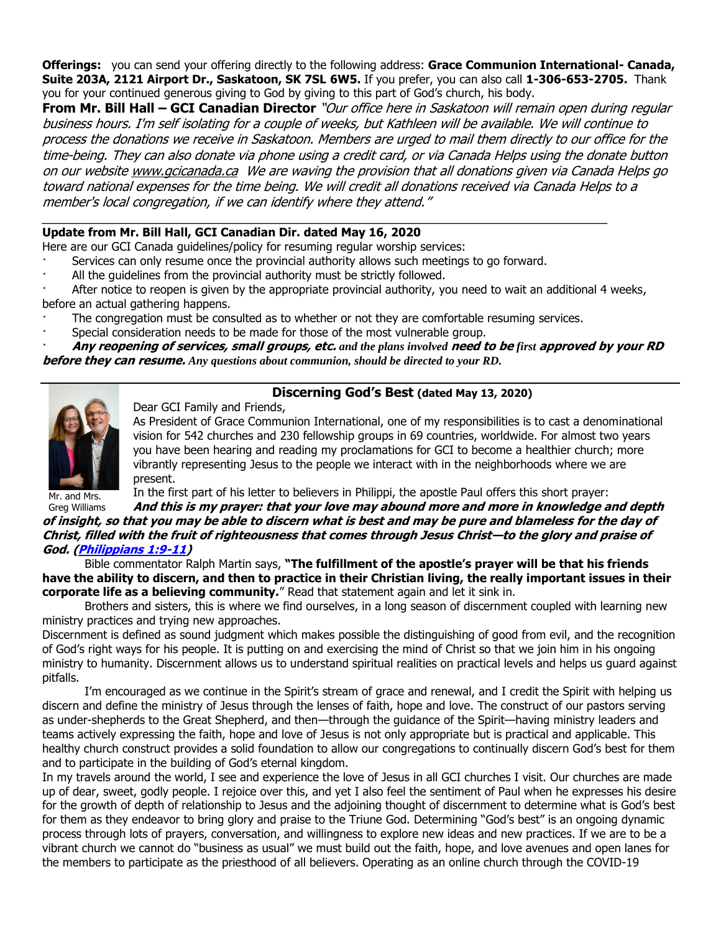**Offerings:** you can send your offering directly to the following address: **Grace Communion International- Canada, Suite 203A, 2121 Airport Dr., Saskatoon, SK 7SL 6W5.** If you prefer, you can also call **1-306-653-2705.** Thank you for your continued generous giving to God by giving to this part of God's church, his body.

**From Mr. Bill Hall – GCI Canadian Director** "Our office here in Saskatoon will remain open during regular business hours. I'm self isolating for a couple of weeks, but Kathleen will be available. We will continue to process the donations we receive in Saskatoon. Members are urged to mail them directly to our office for the time-being. They can also donate via phone using a credit card, or via Canada Helps using the donate button on our websit[e www.gcicanada.ca](https://eur03.safelinks.protection.outlook.com/?url=http%3A%2F%2Fwww.gcicanada.ca%2F&data=02%7C01%7C%7C9fd93e29c2b44509e5a008d7caa78fdb%7C84df9e7fe9f640afb435aaaaaaaaaaaa%7C1%7C0%7C637200693331983394&sdata=VAGy4Q%2BxbhHuYaeEiDz%2FQyicT%2FoiY4Ir9kc8w5yHRPs%3D&reserved=0) We are waving the provision that all donations given via Canada Helps go toward national expenses for the time being. We will credit all donations received via Canada Helps to a member's local congregation, if we can identify where they attend."

## **Update from Mr. Bill Hall, GCI Canadian Dir. dated May 16, 2020**

Here are our GCI Canada guidelines/policy for resuming regular worship services:

- Services can only resume once the provincial authority allows such meetings to go forward.
- All the guidelines from the provincial authority must be strictly followed.

After notice to reopen is given by the appropriate provincial authority, you need to wait an additional 4 weeks, before an actual gathering happens.

- The congregation must be consulted as to whether or not they are comfortable resuming services.
- · Special consideration needs to be made for those of the most vulnerable group.

· **Any reopening of services, small groups, etc.** *and the plans involved* **need to be** *first* **approved by your RD before they can resume.** *Any questions about communion, should be directed to your RD.*



## **Discerning God's Best (dated May 13, 2020)**

Dear GCI Family and Friends, As President of Grace Communion International, one of my responsibilities is to cast a denominational vision for 542 churches and 230 fellowship groups in 69 countries, worldwide. For almost two years you have been hearing and reading my proclamations for GCI to become a healthier church; more vibrantly representing Jesus to the people we interact with in the neighborhoods where we are present.

Mr. and Mrs.

In the first part of his letter to believers in Philippi, the apostle Paul offers this short prayer:

Greg Williams **And this is my prayer: that your love may abound more and more in knowledge and depth of insight, so that you may be able to discern what is best and may be pure and blameless for the day of Christ, filled with the fruit of righteousness that comes through Jesus Christ—to the glory and praise of God. [\(Philippians 1:9-11\)](https://biblia.com/bible/niv/Phil%201.9-11)**

Bible commentator Ralph Martin says, **"The fulfillment of the apostle's prayer will be that his friends have the ability to discern, and then to practice in their Christian living, the really important issues in their corporate life as a believing community.**" Read that statement again and let it sink in.

Brothers and sisters, this is where we find ourselves, in a long season of discernment coupled with learning new ministry practices and trying new approaches.

Discernment is defined as sound judgment which makes possible the distinguishing of good from evil, and the recognition of God's right ways for his people. It is putting on and exercising the mind of Christ so that we join him in his ongoing ministry to humanity. Discernment allows us to understand spiritual realities on practical levels and helps us guard against pitfalls.

I'm encouraged as we continue in the Spirit's stream of grace and renewal, and I credit the Spirit with helping us discern and define the ministry of Jesus through the lenses of faith, hope and love. The construct of our pastors serving as under-shepherds to the Great Shepherd, and then—through the guidance of the Spirit—having ministry leaders and teams actively expressing the faith, hope and love of Jesus is not only appropriate but is practical and applicable. This healthy church construct provides a solid foundation to allow our congregations to continually discern God's best for them and to participate in the building of God's eternal kingdom.

In my travels around the world, I see and experience the love of Jesus in all GCI churches I visit. Our churches are made up of dear, sweet, godly people. I rejoice over this, and yet I also feel the sentiment of Paul when he expresses his desire for the growth of depth of relationship to Jesus and the adjoining thought of discernment to determine what is God's best for them as they endeavor to bring glory and praise to the Triune God. Determining "God's best" is an ongoing dynamic process through lots of prayers, conversation, and willingness to explore new ideas and new practices. If we are to be a vibrant church we cannot do "business as usual" we must build out the faith, hope, and love avenues and open lanes for the members to participate as the priesthood of all believers. Operating as an online church through the COVID-19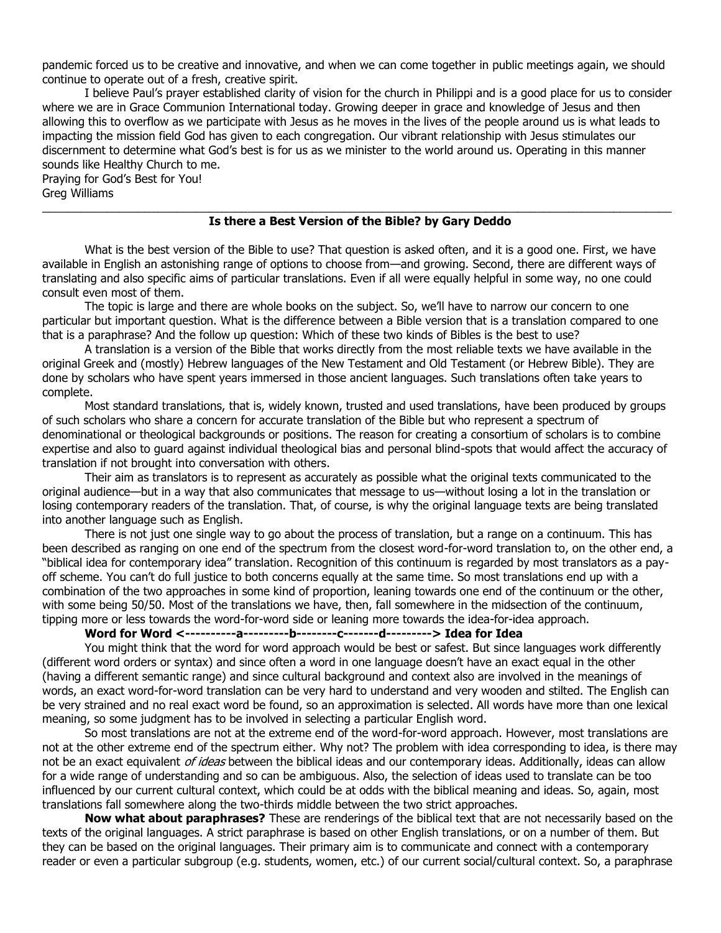pandemic forced us to be creative and innovative, and when we can come together in public meetings again, we should continue to operate out of a fresh, creative spirit.

I believe Paul's prayer established clarity of vision for the church in Philippi and is a good place for us to consider where we are in Grace Communion International today. Growing deeper in grace and knowledge of Jesus and then allowing this to overflow as we participate with Jesus as he moves in the lives of the people around us is what leads to impacting the mission field God has given to each congregation. Our vibrant relationship with Jesus stimulates our discernment to determine what God's best is for us as we minister to the world around us. Operating in this manner sounds like Healthy Church to me.

Praying for God's Best for You! Greg Williams  $\_$  ,  $\_$  ,  $\_$  ,  $\_$  ,  $\_$  ,  $\_$  ,  $\_$  ,  $\_$  ,  $\_$  ,  $\_$  ,  $\_$  ,  $\_$  ,  $\_$  ,  $\_$  ,  $\_$  ,  $\_$  ,  $\_$  ,  $\_$  ,  $\_$  ,  $\_$  ,  $\_$  ,  $\_$  ,  $\_$  ,  $\_$  ,  $\_$  ,  $\_$  ,  $\_$  ,  $\_$  ,  $\_$  ,  $\_$  ,  $\_$  ,  $\_$  ,  $\_$  ,  $\_$  ,  $\_$  ,  $\_$  ,  $\_$  ,

## **Is there a Best Version of the Bible? by Gary Deddo**

What is the best version of the Bible to use? That question is asked often, and it is a good one. First, we have available in English an astonishing range of options to choose from—and growing. Second, there are different ways of translating and also specific aims of particular translations. Even if all were equally helpful in some way, no one could consult even most of them.

The topic is large and there are whole books on the subject. So, we'll have to narrow our concern to one particular but important question. What is the difference between a Bible version that is a translation compared to one that is a paraphrase? And the follow up question: Which of these two kinds of Bibles is the best to use?

A translation is a version of the Bible that works directly from the most reliable texts we have available in the original Greek and (mostly) Hebrew languages of the New Testament and Old Testament (or Hebrew Bible). They are done by scholars who have spent years immersed in those ancient languages. Such translations often take years to complete.

Most standard translations, that is, widely known, trusted and used translations, have been produced by groups of such scholars who share a concern for accurate translation of the Bible but who represent a spectrum of denominational or theological backgrounds or positions. The reason for creating a consortium of scholars is to combine expertise and also to guard against individual theological bias and personal blind-spots that would affect the accuracy of translation if not brought into conversation with others.

Their aim as translators is to represent as accurately as possible what the original texts communicated to the original audience—but in a way that also communicates that message to us—without losing a lot in the translation or losing contemporary readers of the translation. That, of course, is why the original language texts are being translated into another language such as English.

There is not just one single way to go about the process of translation, but a range on a continuum. This has been described as ranging on one end of the spectrum from the closest word-for-word translation to, on the other end, a "biblical idea for contemporary idea" translation. Recognition of this continuum is regarded by most translators as a payoff scheme. You can't do full justice to both concerns equally at the same time. So most translations end up with a combination of the two approaches in some kind of proportion, leaning towards one end of the continuum or the other, with some being 50/50. Most of the translations we have, then, fall somewhere in the midsection of the continuum, tipping more or less towards the word-for-word side or leaning more towards the idea-for-idea approach.

## **Word for Word <----------a---------b--------c-------d---------> Idea for Idea**

You might think that the word for word approach would be best or safest. But since languages work differently (different word orders or syntax) and since often a word in one language doesn't have an exact equal in the other (having a different semantic range) and since cultural background and context also are involved in the meanings of words, an exact word-for-word translation can be very hard to understand and very wooden and stilted. The English can be very strained and no real exact word be found, so an approximation is selected. All words have more than one lexical meaning, so some judgment has to be involved in selecting a particular English word.

So most translations are not at the extreme end of the word-for-word approach. However, most translations are not at the other extreme end of the spectrum either. Why not? The problem with idea corresponding to idea, is there may not be an exact equivalent *of ideas* between the biblical ideas and our contemporary ideas. Additionally, ideas can allow for a wide range of understanding and so can be ambiguous. Also, the selection of ideas used to translate can be too influenced by our current cultural context, which could be at odds with the biblical meaning and ideas. So, again, most translations fall somewhere along the two-thirds middle between the two strict approaches.

**Now what about paraphrases?** These are renderings of the biblical text that are not necessarily based on the texts of the original languages. A strict paraphrase is based on other English translations, or on a number of them. But they can be based on the original languages. Their primary aim is to communicate and connect with a contemporary reader or even a particular subgroup (e.g. students, women, etc.) of our current social/cultural context. So, a paraphrase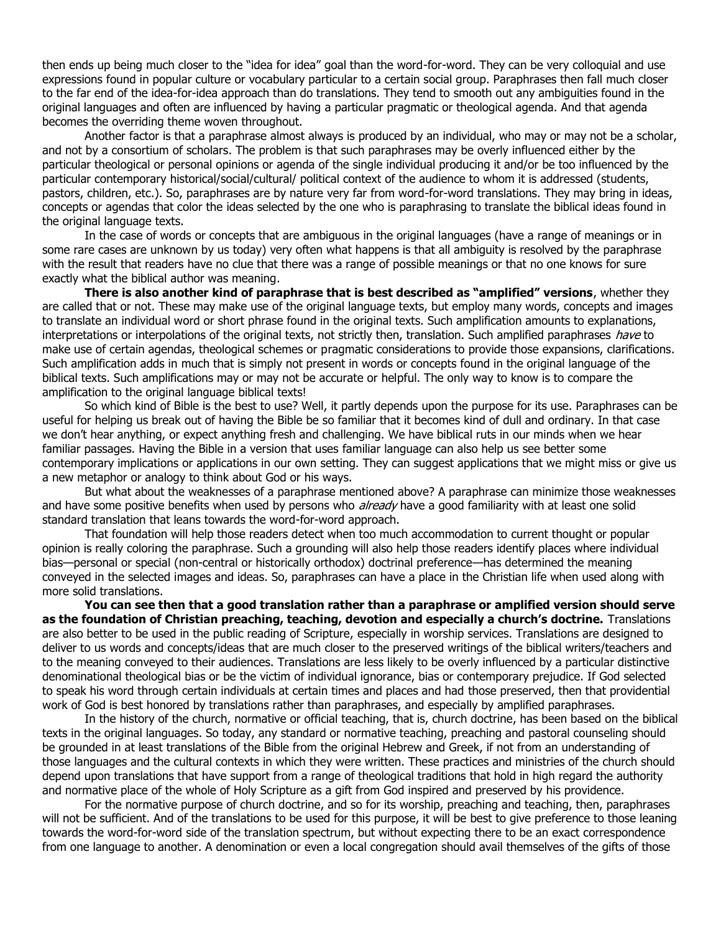then ends up being much closer to the "idea for idea" goal than the word-for-word. They can be very colloquial and use expressions found in popular culture or vocabulary particular to a certain social group. Paraphrases then fall much closer to the far end of the idea-for-idea approach than do translations. They tend to smooth out any ambiguities found in the original languages and often are influenced by having a particular pragmatic or theological agenda. And that agenda becomes the overriding theme woven throughout.

Another factor is that a paraphrase almost always is produced by an individual, who may or may not be a scholar, and not by a consortium of scholars. The problem is that such paraphrases may be overly influenced either by the particular theological or personal opinions or agenda of the single individual producing it and/or be too influenced by the particular contemporary historical/social/cultural/ political context of the audience to whom it is addressed (students, pastors, children, etc.). So, paraphrases are by nature very far from word-for-word translations. They may bring in ideas, concepts or agendas that color the ideas selected by the one who is paraphrasing to translate the biblical ideas found in the original language texts.

In the case of words or concepts that are ambiguous in the original languages (have a range of meanings or in some rare cases are unknown by us today) very often what happens is that all ambiguity is resolved by the paraphrase with the result that readers have no clue that there was a range of possible meanings or that no one knows for sure exactly what the biblical author was meaning.

**There is also another kind of paraphrase that is best described as "amplified" versions**, whether they are called that or not. These may make use of the original language texts, but employ many words, concepts and images to translate an individual word or short phrase found in the original texts. Such amplification amounts to explanations, interpretations or interpolations of the original texts, not strictly then, translation. Such amplified paraphrases have to make use of certain agendas, theological schemes or pragmatic considerations to provide those expansions, clarifications. Such amplification adds in much that is simply not present in words or concepts found in the original language of the biblical texts. Such amplifications may or may not be accurate or helpful. The only way to know is to compare the amplification to the original language biblical texts!

So which kind of Bible is the best to use? Well, it partly depends upon the purpose for its use. Paraphrases can be useful for helping us break out of having the Bible be so familiar that it becomes kind of dull and ordinary. In that case we don't hear anything, or expect anything fresh and challenging. We have biblical ruts in our minds when we hear familiar passages. Having the Bible in a version that uses familiar language can also help us see better some contemporary implications or applications in our own setting. They can suggest applications that we might miss or give us a new metaphor or analogy to think about God or his ways.

But what about the weaknesses of a paraphrase mentioned above? A paraphrase can minimize those weaknesses and have some positive benefits when used by persons who already have a good familiarity with at least one solid standard translation that leans towards the word-for-word approach.

That foundation will help those readers detect when too much accommodation to current thought or popular opinion is really coloring the paraphrase. Such a grounding will also help those readers identify places where individual bias—personal or special (non-central or historically orthodox) doctrinal preference—has determined the meaning conveyed in the selected images and ideas. So, paraphrases can have a place in the Christian life when used along with more solid translations.

**You can see then that a good translation rather than a paraphrase or amplified version should serve as the foundation of Christian preaching, teaching, devotion and especially a church's doctrine.** Translations are also better to be used in the public reading of Scripture, especially in worship services. Translations are designed to deliver to us words and concepts/ideas that are much closer to the preserved writings of the biblical writers/teachers and to the meaning conveyed to their audiences. Translations are less likely to be overly influenced by a particular distinctive denominational theological bias or be the victim of individual ignorance, bias or contemporary prejudice. If God selected to speak his word through certain individuals at certain times and places and had those preserved, then that providential work of God is best honored by translations rather than paraphrases, and especially by amplified paraphrases.

In the history of the church, normative or official teaching, that is, church doctrine, has been based on the biblical texts in the original languages. So today, any standard or normative teaching, preaching and pastoral counseling should be grounded in at least translations of the Bible from the original Hebrew and Greek, if not from an understanding of those languages and the cultural contexts in which they were written. These practices and ministries of the church should depend upon translations that have support from a range of theological traditions that hold in high regard the authority and normative place of the whole of Holy Scripture as a gift from God inspired and preserved by his providence.

For the normative purpose of church doctrine, and so for its worship, preaching and teaching, then, paraphrases will not be sufficient. And of the translations to be used for this purpose, it will be best to give preference to those leaning towards the word-for-word side of the translation spectrum, but without expecting there to be an exact correspondence from one language to another. A denomination or even a local congregation should avail themselves of the gifts of those